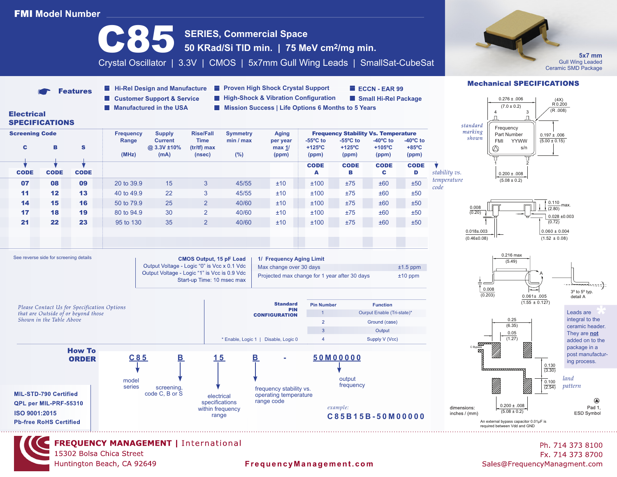# **FMI Model Number**



15302 Bolsa Chica Street Huntington Beach, CA 92649

### FrequencyManagement.com

Fx. 714 373 8700 Sales@FrequencyManagment.com